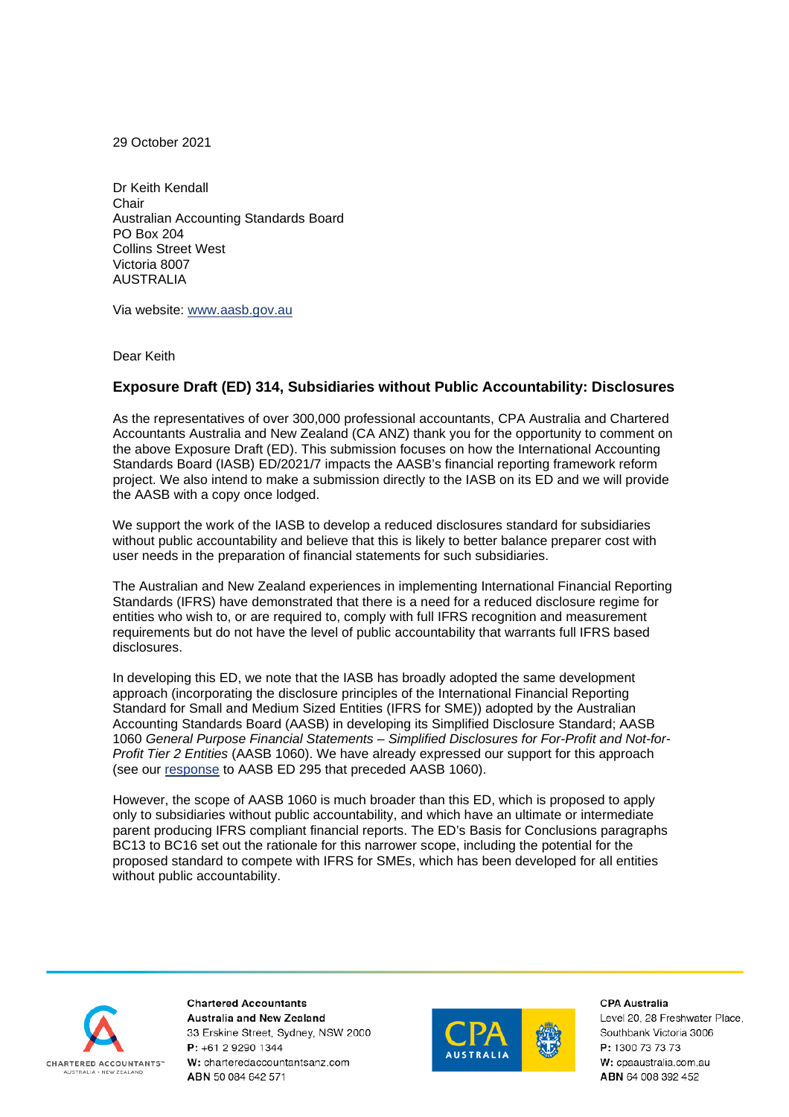29 October 2021

Dr Keith Kendall **Chair** Australian Accounting Standards Board PO Box 204 Collins Street West Victoria 8007 AUSTRALIA

Via website: [www.aasb.gov.au](http://www.aasb.gov.au/)

Dear Keith

## **Exposure Draft (ED) 314, Subsidiaries without Public Accountability: Disclosures**

As the representatives of over 300,000 professional accountants, CPA Australia and Chartered Accountants Australia and New Zealand (CA ANZ) thank you for the opportunity to comment on the above Exposure Draft (ED). This submission focuses on how the International Accounting Standards Board (IASB) ED/2021/7 impacts the AASB's financial reporting framework reform project. We also intend to make a submission directly to the IASB on its ED and we will provide the AASB with a copy once lodged.

We support the work of the IASB to develop a reduced disclosures standard for subsidiaries without public accountability and believe that this is likely to better balance preparer cost with user needs in the preparation of financial statements for such subsidiaries.

The Australian and New Zealand experiences in implementing International Financial Reporting Standards (IFRS) have demonstrated that there is a need for a reduced disclosure regime for entities who wish to, or are required to, comply with full IFRS recognition and measurement requirements but do not have the level of public accountability that warrants full IFRS based disclosures.

In developing this ED, we note that the IASB has broadly adopted the same development approach (incorporating the disclosure principles of the International Financial Reporting Standard for Small and Medium Sized Entities (IFRS for SME)) adopted by the Australian Accounting Standards Board (AASB) in developing its Simplified Disclosure Standard; AASB 1060 *General Purpose Financial Statements – Simplified Disclosures for For-Profit and Not-for-Profit Tier 2 Entities* (AASB 1060). We have already expressed our support for this approach (see our [response](https://www.cpaaustralia.com.au/-/media/project/cpa/corporate/documents/policy-and-advocacy/consultations-and-submissions/financial-reporting/pre-2021/joint-submission-general-purpose-financial-statements.pdf?la=en&rev=d5ab1025a7f5472e906bce823f8d8a4e) to AASB ED 295 that preceded AASB 1060).

However, the scope of AASB 1060 is much broader than this ED, which is proposed to apply only to subsidiaries without public accountability, and which have an ultimate or intermediate parent producing IFRS compliant financial reports. The ED's Basis for Conclusions paragraphs BC13 to BC16 set out the rationale for this narrower scope, including the potential for the proposed standard to compete with IFRS for SMEs, which has been developed for all entities without public accountability.



**Chartered Accountants** Australia and New Zealand 33 Erskine Street, Sydney, NSW 2000 P: +61 2 9290 1344 W: charteredaccountantsanz.com ABN 50 084 642 571



**CPA Australia**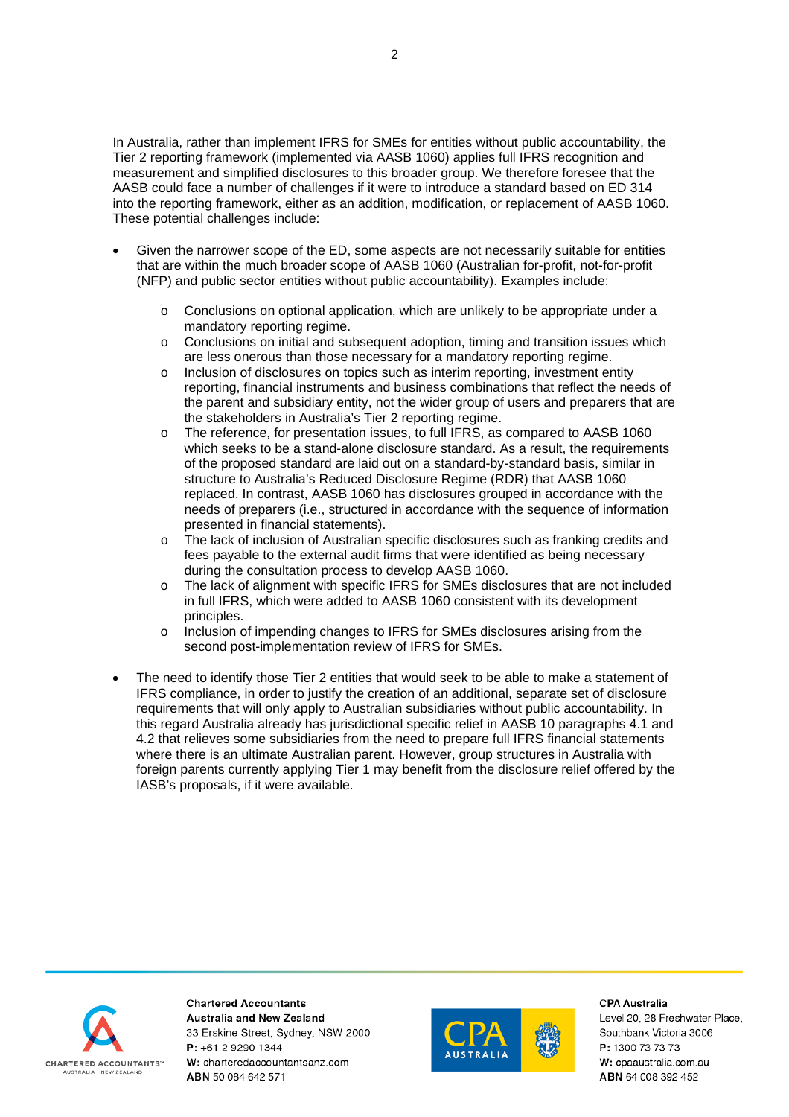In Australia, rather than implement IFRS for SMEs for entities without public accountability, the Tier 2 reporting framework (implemented via AASB 1060) applies full IFRS recognition and measurement and simplified disclosures to this broader group. We therefore foresee that the AASB could face a number of challenges if it were to introduce a standard based on ED 314 into the reporting framework, either as an addition, modification, or replacement of AASB 1060. These potential challenges include:

- Given the narrower scope of the ED, some aspects are not necessarily suitable for entities that are within the much broader scope of AASB 1060 (Australian for-profit, not-for-profit (NFP) and public sector entities without public accountability). Examples include:
	- o Conclusions on optional application, which are unlikely to be appropriate under a mandatory reporting regime.
	- o Conclusions on initial and subsequent adoption, timing and transition issues which are less onerous than those necessary for a mandatory reporting regime.
	- o Inclusion of disclosures on topics such as interim reporting, investment entity reporting, financial instruments and business combinations that reflect the needs of the parent and subsidiary entity, not the wider group of users and preparers that are the stakeholders in Australia's Tier 2 reporting regime.
	- o The reference, for presentation issues, to full IFRS, as compared to AASB 1060 which seeks to be a stand-alone disclosure standard. As a result, the requirements of the proposed standard are laid out on a standard-by-standard basis, similar in structure to Australia's Reduced Disclosure Regime (RDR) that AASB 1060 replaced. In contrast, AASB 1060 has disclosures grouped in accordance with the needs of preparers (i.e., structured in accordance with the sequence of information presented in financial statements).
	- o The lack of inclusion of Australian specific disclosures such as franking credits and fees payable to the external audit firms that were identified as being necessary during the consultation process to develop AASB 1060.
	- o The lack of alignment with specific IFRS for SMEs disclosures that are not included in full IFRS, which were added to AASB 1060 consistent with its development principles.
	- o Inclusion of impending changes to IFRS for SMEs disclosures arising from the second post-implementation review of IFRS for SMEs.
- The need to identify those Tier 2 entities that would seek to be able to make a statement of IFRS compliance, in order to justify the creation of an additional, separate set of disclosure requirements that will only apply to Australian subsidiaries without public accountability. In this regard Australia already has jurisdictional specific relief in AASB 10 paragraphs 4.1 and 4.2 that relieves some subsidiaries from the need to prepare full IFRS financial statements where there is an ultimate Australian parent. However, group structures in Australia with foreign parents currently applying Tier 1 may benefit from the disclosure relief offered by the IASB's proposals, if it were available.



**Chartered Accountants Australia and New Zealand** 33 Erskine Street, Sydney, NSW 2000 P: +61 2 9290 1344 W: charteredaccountantsanz.com ABN 50 084 642 571



CPA Australia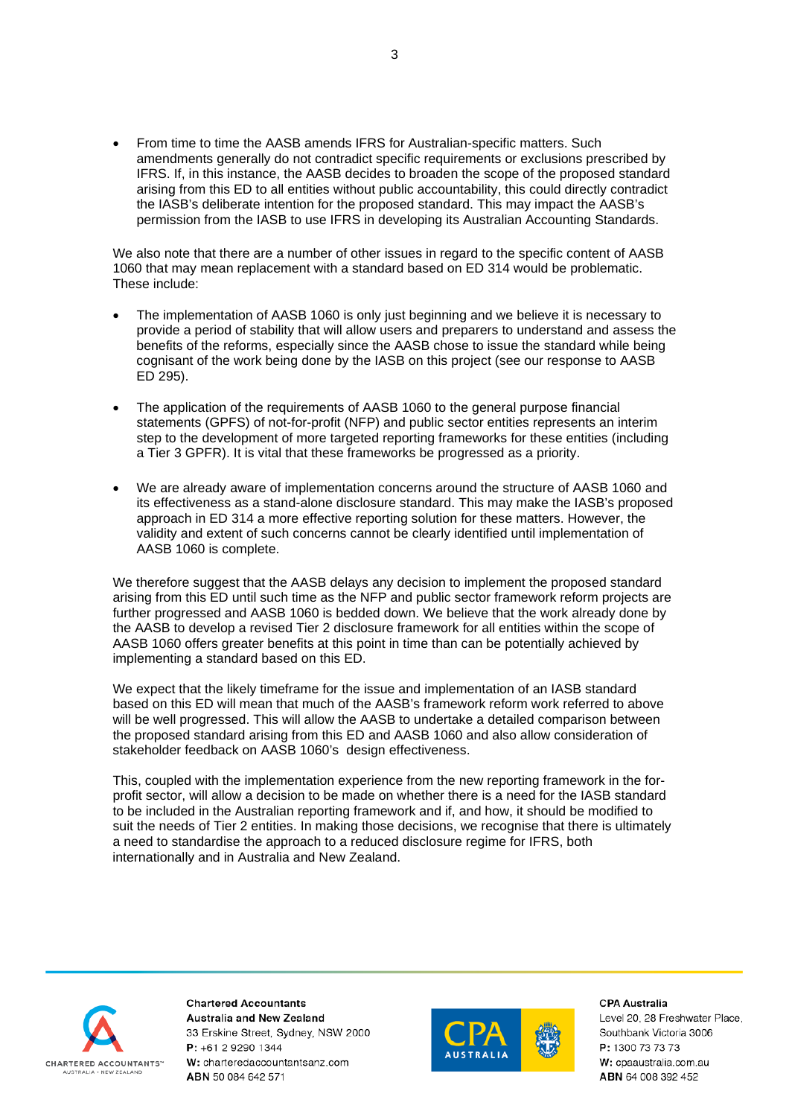• From time to time the AASB amends IFRS for Australian-specific matters. Such amendments generally do not contradict specific requirements or exclusions prescribed by IFRS. If, in this instance, the AASB decides to broaden the scope of the proposed standard arising from this ED to all entities without public accountability, this could directly contradict the IASB's deliberate intention for the proposed standard. This may impact the AASB's permission from the IASB to use IFRS in developing its Australian Accounting Standards.

We also note that there are a number of other issues in regard to the specific content of AASB 1060 that may mean replacement with a standard based on ED 314 would be problematic. These include:

- The implementation of AASB 1060 is only just beginning and we believe it is necessary to provide a period of stability that will allow users and preparers to understand and assess the benefits of the reforms, especially since the AASB chose to issue the standard while being cognisant of the work being done by the IASB on this project (see our response to AASB ED 295).
- The application of the requirements of AASB 1060 to the general purpose financial statements (GPFS) of not-for-profit (NFP) and public sector entities represents an interim step to the development of more targeted reporting frameworks for these entities (including a Tier 3 GPFR). It is vital that these frameworks be progressed as a priority.
- We are already aware of implementation concerns around the structure of AASB 1060 and its effectiveness as a stand-alone disclosure standard. This may make the IASB's proposed approach in ED 314 a more effective reporting solution for these matters. However, the validity and extent of such concerns cannot be clearly identified until implementation of AASB 1060 is complete.

We therefore suggest that the AASB delays any decision to implement the proposed standard arising from this ED until such time as the NFP and public sector framework reform projects are further progressed and AASB 1060 is bedded down. We believe that the work already done by the AASB to develop a revised Tier 2 disclosure framework for all entities within the scope of AASB 1060 offers greater benefits at this point in time than can be potentially achieved by implementing a standard based on this ED.

We expect that the likely timeframe for the issue and implementation of an IASB standard based on this ED will mean that much of the AASB's framework reform work referred to above will be well progressed. This will allow the AASB to undertake a detailed comparison between the proposed standard arising from this ED and AASB 1060 and also allow consideration of stakeholder feedback on AASB 1060's design effectiveness.

This, coupled with the implementation experience from the new reporting framework in the forprofit sector, will allow a decision to be made on whether there is a need for the IASB standard to be included in the Australian reporting framework and if, and how, it should be modified to suit the needs of Tier 2 entities. In making those decisions, we recognise that there is ultimately a need to standardise the approach to a reduced disclosure regime for IFRS, both internationally and in Australia and New Zealand.



**Chartered Accountants Australia and New Zealand** 33 Erskine Street, Sydney, NSW 2000 P: +61 2 9290 1344 W: charteredaccountantsanz.com ABN 50 084 642 571



**CPA Australia**